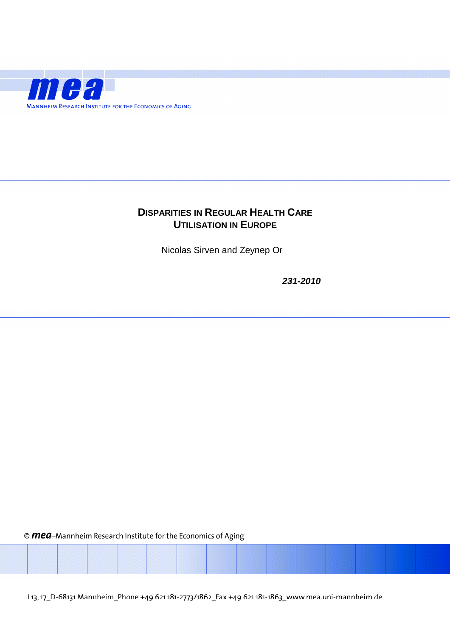

## **DISPARITIES IN REGULAR HEALTH CARE UTILISATION IN EUROPE**

Nicolas Sirven and Zeynep Or

**231-2010** 

© mea-Mannheim Research Institute for the Economics of Aging

L13, 17\_D-68131 Mannheim\_Phone +49 621 181-2773/1862\_Fax +49 621 181-1863\_www.mea.uni-mannheim.de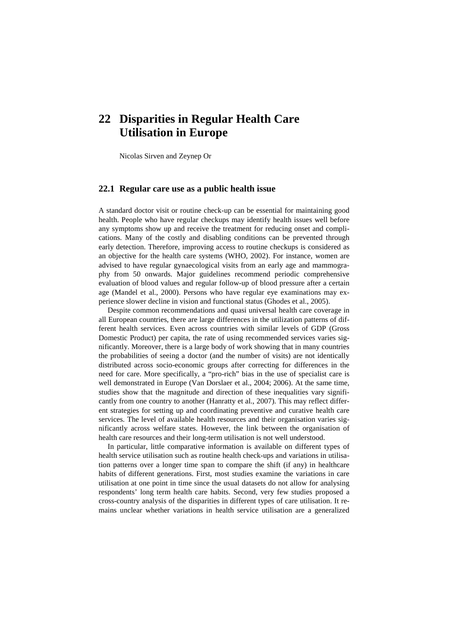# **22 Disparities in Regular Health Care Utilisation in Europe**

Nicolas Sirven and Zeynep Or

#### **22.1 Regular care use as a public health issue**

A standard doctor visit or routine check-up can be essential for maintaining good health. People who have regular checkups may identify health issues well before any symptoms show up and receive the treatment for reducing onset and complications. Many of the costly and disabling conditions can be prevented through early detection. Therefore, improving access to routine checkups is considered as an objective for the health care systems (WHO, 2002). For instance, women are advised to have regular gynaecological visits from an early age and mammography from 50 onwards. Major guidelines recommend periodic comprehensive evaluation of blood values and regular follow-up of blood pressure after a certain age (Mandel et al., 2000). Persons who have regular eye examinations may experience slower decline in vision and functional status (Ghodes et al., 2005).

Despite common recommendations and quasi universal health care coverage in all European countries, there are large differences in the utilization patterns of different health services. Even across countries with similar levels of GDP (Gross Domestic Product) per capita, the rate of using recommended services varies significantly. Moreover, there is a large body of work showing that in many countries the probabilities of seeing a doctor (and the number of visits) are not identically distributed across socio-economic groups after correcting for differences in the need for care. More specifically, a "pro-rich" bias in the use of specialist care is well demonstrated in Europe (Van Dorslaer et al., 2004; 2006). At the same time, studies show that the magnitude and direction of these inequalities vary significantly from one country to another (Hanratty et al., 2007). This may reflect different strategies for setting up and coordinating preventive and curative health care services. The level of available health resources and their organisation varies significantly across welfare states. However, the link between the organisation of health care resources and their long-term utilisation is not well understood.

In particular, little comparative information is available on different types of health service utilisation such as routine health check-ups and variations in utilisation patterns over a longer time span to compare the shift (if any) in healthcare habits of different generations. First, most studies examine the variations in care utilisation at one point in time since the usual datasets do not allow for analysing respondents' long term health care habits. Second, very few studies proposed a cross-country analysis of the disparities in different types of care utilisation. It remains unclear whether variations in health service utilisation are a generalized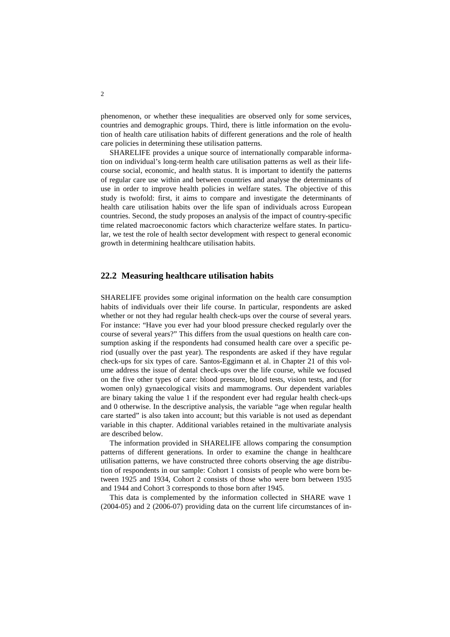phenomenon, or whether these inequalities are observed only for some services, countries and demographic groups. Third, there is little information on the evolution of health care utilisation habits of different generations and the role of health care policies in determining these utilisation patterns.

SHARELIFE provides a unique source of internationally comparable information on individual's long-term health care utilisation patterns as well as their lifecourse social, economic, and health status. It is important to identify the patterns of regular care use within and between countries and analyse the determinants of use in order to improve health policies in welfare states. The objective of this study is twofold: first, it aims to compare and investigate the determinants of health care utilisation habits over the life span of individuals across European countries. Second, the study proposes an analysis of the impact of country-specific time related macroeconomic factors which characterize welfare states. In particular, we test the role of health sector development with respect to general economic growth in determining healthcare utilisation habits.

#### **22.2 Measuring healthcare utilisation habits**

SHARELIFE provides some original information on the health care consumption habits of individuals over their life course. In particular, respondents are asked whether or not they had regular health check-ups over the course of several years. For instance: "Have you ever had your blood pressure checked regularly over the course of several years?" This differs from the usual questions on health care consumption asking if the respondents had consumed health care over a specific period (usually over the past year). The respondents are asked if they have regular check-ups for six types of care. Santos-Eggimann et al. in Chapter 21 of this volume address the issue of dental check-ups over the life course, while we focused on the five other types of care: blood pressure, blood tests, vision tests, and (for women only) gynaecological visits and mammograms. Our dependent variables are binary taking the value 1 if the respondent ever had regular health check-ups and 0 otherwise. In the descriptive analysis, the variable "age when regular health care started" is also taken into account; but this variable is not used as dependant variable in this chapter. Additional variables retained in the multivariate analysis are described below.

The information provided in SHARELIFE allows comparing the consumption patterns of different generations. In order to examine the change in healthcare utilisation patterns, we have constructed three cohorts observing the age distribution of respondents in our sample: Cohort 1 consists of people who were born between 1925 and 1934, Cohort 2 consists of those who were born between 1935 and 1944 and Cohort 3 corresponds to those born after 1945.

This data is complemented by the information collected in SHARE wave 1 (2004-05) and 2 (2006-07) providing data on the current life circumstances of in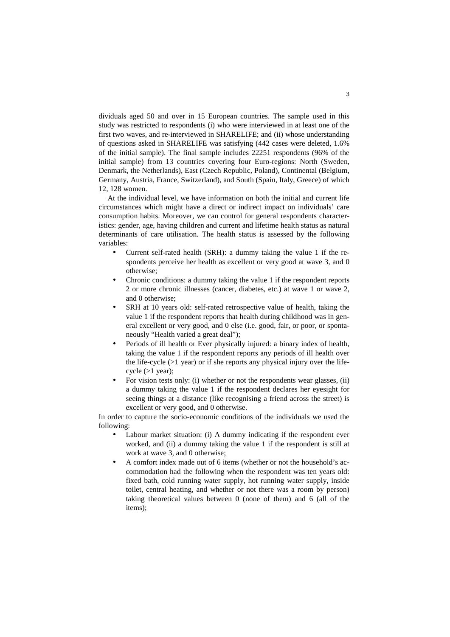dividuals aged 50 and over in 15 European countries. The sample used in this study was restricted to respondents (i) who were interviewed in at least one of the first two waves, and re-interviewed in SHARELIFE; and (ii) whose understanding of questions asked in SHARELIFE was satisfying (442 cases were deleted, 1.6% of the initial sample). The final sample includes 22251 respondents (96% of the initial sample) from 13 countries covering four Euro-regions: North (Sweden, Denmark, the Netherlands), East (Czech Republic, Poland), Continental (Belgium, Germany, Austria, France, Switzerland), and South (Spain, Italy, Greece) of which 12, 128 women.

At the individual level, we have information on both the initial and current life circumstances which might have a direct or indirect impact on individuals' care consumption habits. Moreover, we can control for general respondents characteristics: gender, age, having children and current and lifetime health status as natural determinants of care utilisation. The health status is assessed by the following variables:

- Current self-rated health (SRH): a dummy taking the value 1 if the respondents perceive her health as excellent or very good at wave 3, and 0 otherwise;
- Chronic conditions: a dummy taking the value 1 if the respondent reports 2 or more chronic illnesses (cancer, diabetes, etc.) at wave 1 or wave 2, and 0 otherwise;
- SRH at 10 years old: self-rated retrospective value of health, taking the value 1 if the respondent reports that health during childhood was in general excellent or very good, and 0 else (i.e. good, fair, or poor, or spontaneously "Health varied a great deal");
- Periods of ill health or Ever physically injured: a binary index of health, taking the value 1 if the respondent reports any periods of ill health over the life-cycle  $(>1$  year) or if she reports any physical injury over the life $cycle (>1 year);$
- For vision tests only: (i) whether or not the respondents wear glasses, (ii) a dummy taking the value 1 if the respondent declares her eyesight for seeing things at a distance (like recognising a friend across the street) is excellent or very good, and 0 otherwise.

In order to capture the socio-economic conditions of the individuals we used the following:

- Labour market situation: (i) A dummy indicating if the respondent ever worked, and (ii) a dummy taking the value 1 if the respondent is still at work at wave 3, and 0 otherwise;
- A comfort index made out of 6 items (whether or not the household's accommodation had the following when the respondent was ten years old: fixed bath, cold running water supply, hot running water supply, inside toilet, central heating, and whether or not there was a room by person) taking theoretical values between 0 (none of them) and 6 (all of the items);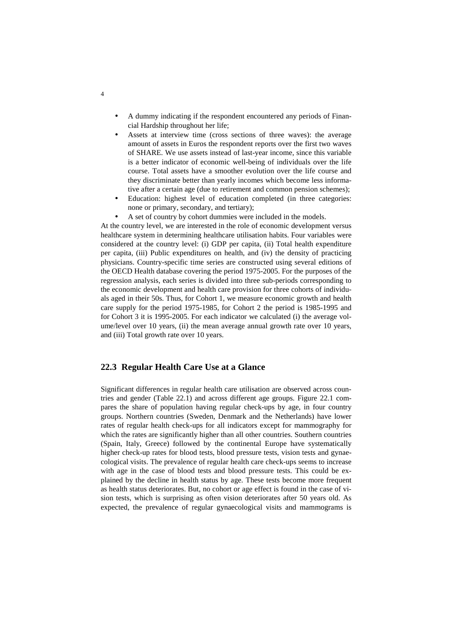- A dummy indicating if the respondent encountered any periods of Financial Hardship throughout her life;
- Assets at interview time (cross sections of three waves): the average amount of assets in Euros the respondent reports over the first two waves of SHARE. We use assets instead of last-year income, since this variable is a better indicator of economic well-being of individuals over the life course. Total assets have a smoother evolution over the life course and they discriminate better than yearly incomes which become less informative after a certain age (due to retirement and common pension schemes);
- Education: highest level of education completed (in three categories: none or primary, secondary, and tertiary);
- A set of country by cohort dummies were included in the models.

At the country level, we are interested in the role of economic development versus healthcare system in determining healthcare utilisation habits. Four variables were considered at the country level: (i) GDP per capita, (ii) Total health expenditure per capita, (iii) Public expenditures on health, and (iv) the density of practicing physicians. Country-specific time series are constructed using several editions of the OECD Health database covering the period 1975-2005. For the purposes of the regression analysis, each series is divided into three sub-periods corresponding to the economic development and health care provision for three cohorts of individuals aged in their 50s. Thus, for Cohort 1, we measure economic growth and health care supply for the period 1975-1985, for Cohort 2 the period is 1985-1995 and for Cohort 3 it is 1995-2005. For each indicator we calculated (i) the average volume/level over 10 years, (ii) the mean average annual growth rate over 10 years, and (iii) Total growth rate over 10 years.

## **22.3 Regular Health Care Use at a Glance**

Significant differences in regular health care utilisation are observed across countries and gender (Table 22.1) and across different age groups. Figure 22.1 compares the share of population having regular check-ups by age, in four country groups. Northern countries (Sweden, Denmark and the Netherlands) have lower rates of regular health check-ups for all indicators except for mammography for which the rates are significantly higher than all other countries. Southern countries (Spain, Italy, Greece) followed by the continental Europe have systematically higher check-up rates for blood tests, blood pressure tests, vision tests and gynaecological visits. The prevalence of regular health care check-ups seems to increase with age in the case of blood tests and blood pressure tests. This could be explained by the decline in health status by age. These tests become more frequent as health status deteriorates. But, no cohort or age effect is found in the case of vision tests, which is surprising as often vision deteriorates after 50 years old. As expected, the prevalence of regular gynaecological visits and mammograms is

4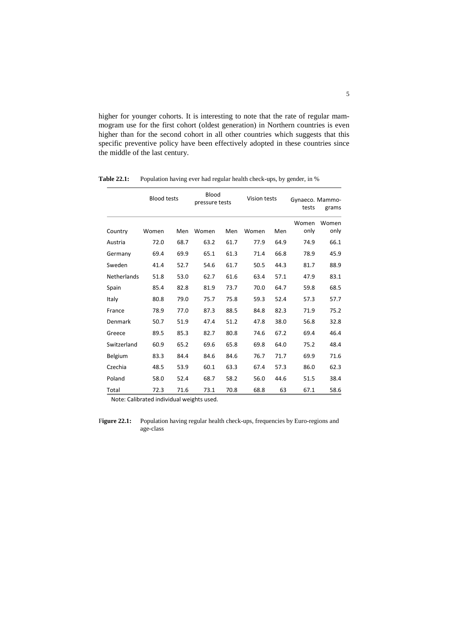higher for younger cohorts. It is interesting to note that the rate of regular mammogram use for the first cohort (oldest generation) in Northern countries is even higher than for the second cohort in all other countries which suggests that this specific preventive policy have been effectively adopted in these countries since the middle of the last century.

|             | <b>Blood tests</b> |      | Blood<br>pressure tests |      | Vision tests |      | Gynaeco. Mammo-<br>tests | grams |
|-------------|--------------------|------|-------------------------|------|--------------|------|--------------------------|-------|
|             |                    |      |                         |      |              |      | Women                    | Women |
| Country     | Women              | Men  | Women                   | Men  | Women        | Men  | only                     | only  |
| Austria     | 72.0               | 68.7 | 63.2                    | 61.7 | 77.9         | 64.9 | 74.9                     | 66.1  |
| Germany     | 69.4               | 69.9 | 65.1                    | 61.3 | 71.4         | 66.8 | 78.9                     | 45.9  |
| Sweden      | 41.4               | 52.7 | 54.6                    | 61.7 | 50.5         | 44.3 | 81.7                     | 88.9  |
| Netherlands | 51.8               | 53.0 | 62.7                    | 61.6 | 63.4         | 57.1 | 47.9                     | 83.1  |
| Spain       | 85.4               | 82.8 | 81.9                    | 73.7 | 70.0         | 64.7 | 59.8                     | 68.5  |
| Italy       | 80.8               | 79.0 | 75.7                    | 75.8 | 59.3         | 52.4 | 57.3                     | 57.7  |
| France      | 78.9               | 77.0 | 87.3                    | 88.5 | 84.8         | 82.3 | 71.9                     | 75.2  |
| Denmark     | 50.7               | 51.9 | 47.4                    | 51.2 | 47.8         | 38.0 | 56.8                     | 32.8  |
| Greece      | 89.5               | 85.3 | 82.7                    | 80.8 | 74.6         | 67.2 | 69.4                     | 46.4  |
| Switzerland | 60.9               | 65.2 | 69.6                    | 65.8 | 69.8         | 64.0 | 75.2                     | 48.4  |
| Belgium     | 83.3               | 84.4 | 84.6                    | 84.6 | 76.7         | 71.7 | 69.9                     | 71.6  |
| Czechia     | 48.5               | 53.9 | 60.1                    | 63.3 | 67.4         | 57.3 | 86.0                     | 62.3  |
| Poland      | 58.0               | 52.4 | 68.7                    | 58.2 | 56.0         | 44.6 | 51.5                     | 38.4  |
| Total       | 72.3               | 71.6 | 73.1                    | 70.8 | 68.8         | 63   | 67.1                     | 58.6  |

**Table 22.1:** Population having ever had regular health check-ups, by gender, in %

Note: Calibrated individual weights used.

Figure 22.1: Population having regular health check-ups, frequencies by Euro-regions and age-class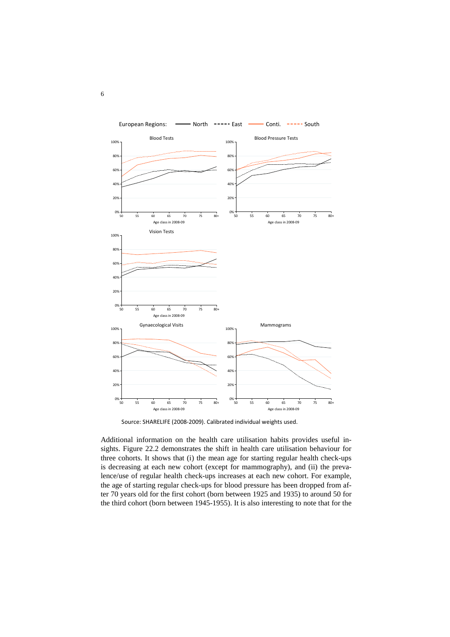

Source: SHARELIFE (2008-2009). Calibrated individual weights used.

Additional information on the health care utilisation habits provides useful insights. Figure 22.2 demonstrates the shift in health care utilisation behaviour for three cohorts. It shows that (i) the mean age for starting regular health check-ups is decreasing at each new cohort (except for mammography), and (ii) the prevalence/use of regular health check-ups increases at each new cohort. For example, the age of starting regular check-ups for blood pressure has been dropped from after 70 years old for the first cohort (born between 1925 and 1935) to around 50 for the third cohort (born between 1945-1955). It is also interesting to note that for the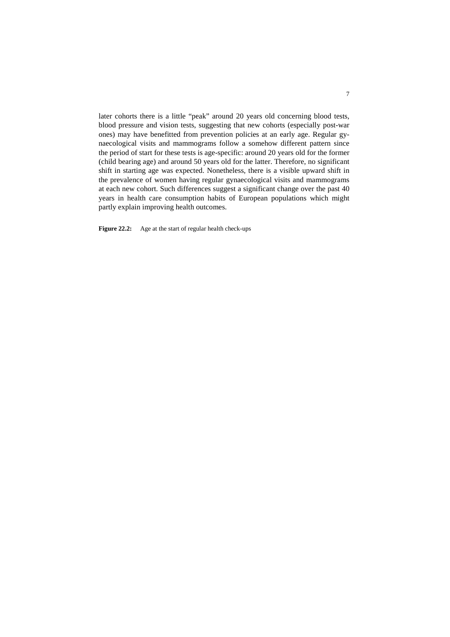later cohorts there is a little "peak" around 20 years old concerning blood tests, blood pressure and vision tests, suggesting that new cohorts (especially post-war ones) may have benefitted from prevention policies at an early age. Regular gynaecological visits and mammograms follow a somehow different pattern since the period of start for these tests is age-specific: around 20 years old for the former (child bearing age) and around 50 years old for the latter. Therefore, no significant shift in starting age was expected. Nonetheless, there is a visible upward shift in the prevalence of women having regular gynaecological visits and mammograms at each new cohort. Such differences suggest a significant change over the past 40 years in health care consumption habits of European populations which might partly explain improving health outcomes.

**Figure 22.2:** Age at the start of regular health check-ups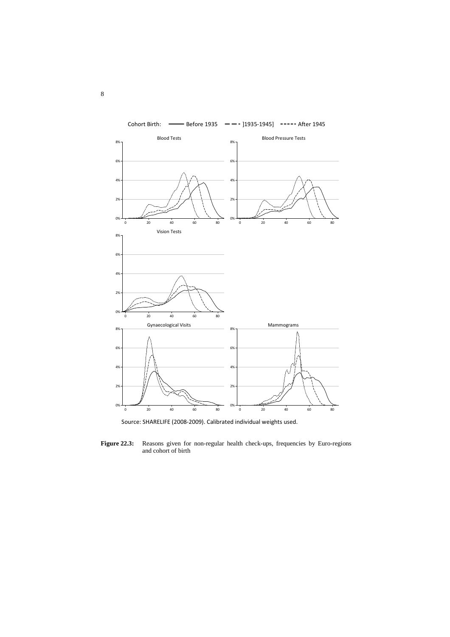

Source: SHARELIFE (2008-2009). Calibrated individual weights used.

Figure 22.3: Reasons given for non-regular health check-ups, frequencies by Euro-regions and cohort of birth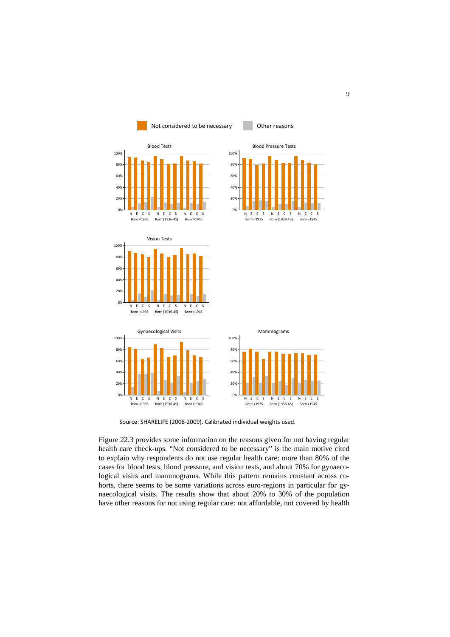

Source: SHARELIFE (2008-2009). Calibrated individual weights used.

Figure 22.3 provides some information on the reasons given for not having regular health care check-ups. "Not considered to be necessary" is the main motive cited to explain why respondents do not use regular health care: more than 80% of the cases for blood tests, blood pressure, and vision tests, and about 70% for gynaecological visits and mammograms. While this pattern remains constant across cohorts, there seems to be some variations across euro-regions in particular for gynaecological visits. The results show that about 20% to 30% of the population have other reasons for not using regular care: not affordable, not covered by health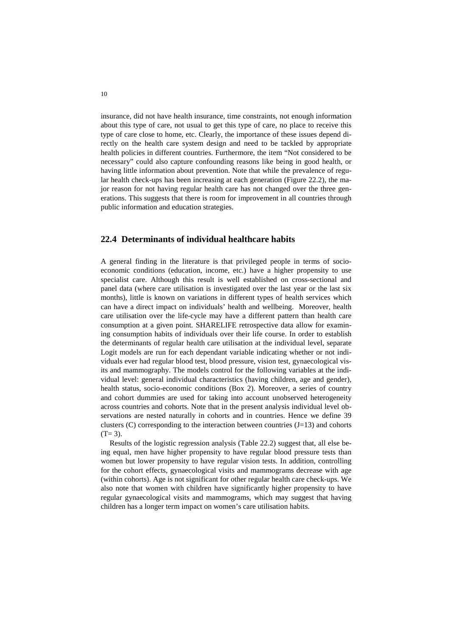insurance, did not have health insurance, time constraints, not enough information about this type of care, not usual to get this type of care, no place to receive this type of care close to home, etc. Clearly, the importance of these issues depend directly on the health care system design and need to be tackled by appropriate health policies in different countries. Furthermore, the item "Not considered to be necessary" could also capture confounding reasons like being in good health, or having little information about prevention. Note that while the prevalence of regular health check-ups has been increasing at each generation (Figure 22.2), the major reason for not having regular health care has not changed over the three generations. This suggests that there is room for improvement in all countries through public information and education strategies.

## **22.4 Determinants of individual healthcare habits**

A general finding in the literature is that privileged people in terms of socioeconomic conditions (education, income, etc.) have a higher propensity to use specialist care. Although this result is well established on cross-sectional and panel data (where care utilisation is investigated over the last year or the last six months), little is known on variations in different types of health services which can have a direct impact on individuals' health and wellbeing. Moreover, health care utilisation over the life-cycle may have a different pattern than health care consumption at a given point. SHARELIFE retrospective data allow for examining consumption habits of individuals over their life course. In order to establish the determinants of regular health care utilisation at the individual level, separate Logit models are run for each dependant variable indicating whether or not individuals ever had regular blood test, blood pressure, vision test, gynaecological visits and mammography. The models control for the following variables at the individual level: general individual characteristics (having children, age and gender), health status, socio-economic conditions (Box 2). Moreover, a series of country and cohort dummies are used for taking into account unobserved heterogeneity across countries and cohorts. Note that in the present analysis individual level observations are nested naturally in cohorts and in countries. Hence we define 39 clusters  $(C)$  corresponding to the interaction between countries  $(J=13)$  and cohorts  $(T= 3)$ .

Results of the logistic regression analysis (Table 22.2) suggest that, all else being equal, men have higher propensity to have regular blood pressure tests than women but lower propensity to have regular vision tests. In addition, controlling for the cohort effects, gynaecological visits and mammograms decrease with age (within cohorts). Age is not significant for other regular health care check-ups. We also note that women with children have significantly higher propensity to have regular gynaecological visits and mammograms, which may suggest that having children has a longer term impact on women's care utilisation habits.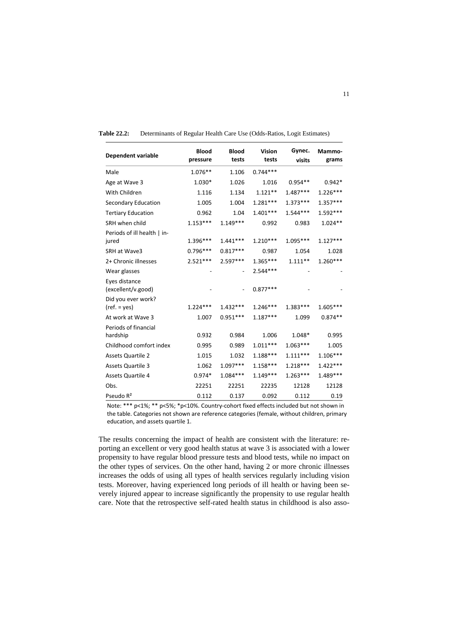| <b>Dependent variable</b>            | <b>Blood</b><br>pressure | <b>Blood</b><br>tests    | <b>Vision</b><br>tests | Gynec.<br>visits | Mammo-<br>grams |
|--------------------------------------|--------------------------|--------------------------|------------------------|------------------|-----------------|
| Male                                 | $1.076**$                | 1.106                    | $0.744***$             |                  |                 |
| Age at Wave 3                        | $1.030*$                 | 1.026                    | 1.016                  | $0.954**$        | $0.942*$        |
| With Children                        | 1.116                    | 1.134                    | $1.121**$              | $1.487***$       | $1.226***$      |
| Secondary Education                  | 1.005                    | 1.004                    | $1.281***$             | $1.373***$       | $1.357***$      |
| <b>Tertiary Education</b>            | 0.962                    | 1.04                     | $1.401***$             | $1.544***$       | $1.592***$      |
| SRH when child                       | $1.153***$               | $1.149***$               | 0.992                  | 0.983            | $1.024**$       |
| Periods of ill health   in-<br>jured | $1.396***$               | $1.441***$               | $1.210***$             | $1.095***$       | $1.127***$      |
| SRH at Wave3                         | $0.796***$               | $0.817***$               | 0.987                  | 1.054            | 1.028           |
| 2+ Chronic illnesses                 | $2.521***$               | $2.597***$               | $1.365***$             | $1.111**$        | $1.260***$      |
| Wear glasses                         |                          | $\overline{\phantom{a}}$ | $2.544***$             |                  |                 |
| Eyes distance<br>(excellent/v.good)  |                          |                          | $0.877***$             |                  |                 |
| Did you ever work?<br>$(ref. = yes)$ | $1.224***$               | $1.432***$               | $1.246***$             | $1.383***$       | $1.605***$      |
| At work at Wave 3                    | 1.007                    | $0.951***$               | $1.187***$             | 1.099            | $0.874**$       |
| Periods of financial<br>hardship     | 0.932                    | 0.984                    | 1.006                  | 1.048*           | 0.995           |
| Childhood comfort index              | 0.995                    | 0.989                    | $1.011***$             | $1.063***$       | 1.005           |
| <b>Assets Quartile 2</b>             | 1.015                    | 1.032                    | $1.188***$             | $1.111***$       | $1.106***$      |
| <b>Assets Quartile 3</b>             | 1.062                    | $1.097***$               | $1.158***$             | $1.218***$       | 1.422***        |
| <b>Assets Quartile 4</b>             | $0.974*$                 | $1.084***$               | $1.149***$             | $1.263***$       | 1.489***        |
| Obs.                                 | 22251                    | 22251                    | 22235                  | 12128            | 12128           |
| Pseudo R <sup>2</sup>                | 0.112                    | 0.137                    | 0.092                  | 0.112            | 0.19            |

**Table 22.2:** Determinants of Regular Health Care Use (Odds-Ratios, Logit Estimates)

Note: \*\*\* p<1%; \*\* p<5%; \*p<10%. Country-cohort fixed effects included but not shown in the table. Categories not shown are reference categories (female, without children, primary education, and assets quartile 1.

The results concerning the impact of health are consistent with the literature: reporting an excellent or very good health status at wave 3 is associated with a lower propensity to have regular blood pressure tests and blood tests, while no impact on the other types of services. On the other hand, having 2 or more chronic illnesses increases the odds of using all types of health services regularly including vision tests. Moreover, having experienced long periods of ill health or having been severely injured appear to increase significantly the propensity to use regular health care. Note that the retrospective self-rated health status in childhood is also asso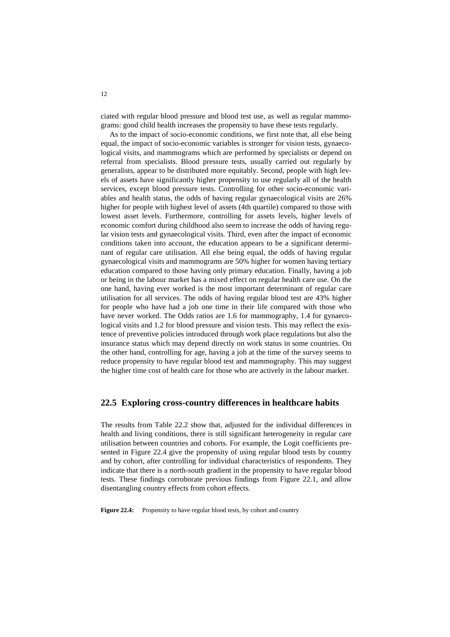ciated with regular blood pressure and blood test use, as well as regular mammograms: good child health increases the propensity to have these tests regularly.

As to the impact of socio-economic conditions, we first note that, all else being equal, the impact of socio-economic variables is stronger for vision tests, gynaecological visits, and mammograms which are performed by specialists or depend on referral from specialists. Blood pressure tests, usually carried out regularly by generalists, appear to be distributed more equitably. Second, people with high levels of assets have significantly higher propensity to use regularly all of the health services, except blood pressure tests. Controlling for other socio-economic variables and health status, the odds of having regular gynaecological visits are 26% higher for people with highest level of assets (4th quartile) compared to those with lowest asset levels. Furthermore, controlling for assets levels, higher levels of economic comfort during childhood also seem to increase the odds of having regular vision tests and gynaecological visits. Third, even after the impact of economic conditions taken into account, the education appears to be a significant determinant of regular care utilisation. All else being equal, the odds of having regular gynaecological visits and mammograms are 50% higher for women having tertiary education compared to those having only primary education. Finally, having a job or being in the labour market has a mixed effect on regular health care use. On the one hand, having ever worked is the most important determinant of regular care utilisation for all services. The odds of having regular blood test are 43% higher for people who have had a job one time in their life compared with those who have never worked. The Odds ratios are 1.6 for mammography, 1.4 for gynaecological visits and 1.2 for blood pressure and vision tests. This may reflect the existence of preventive policies introduced through work place regulations but also the insurance status which may depend directly on work status in some countries. On the other hand, controlling for age, having a job at the time of the survey seems to reduce propensity to have regular blood test and mammography. This may suggest the higher time cost of health care for those who are actively in the labour market.

## **22.5 Exploring cross-country differences in healthcare habits**

The results from Table 22.2 show that, adjusted for the individual differences in health and living conditions, there is still significant heterogeneity in regular care utilisation between countries and cohorts. For example, the Logit coefficients presented in Figure 22.4 give the propensity of using regular blood tests by country and by cohort, after controlling for individual characteristics of respondents. They indicate that there is a north-south gradient in the propensity to have regular blood tests. These findings corroborate previous findings from Figure 22.1, and allow disentangling country effects from cohort effects.

**Figure 22.4:** Propensity to have regular blood tests, by cohort and country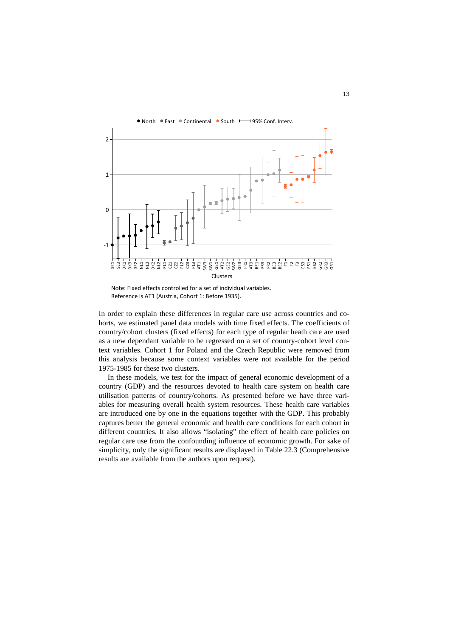

Reference is AT1 (Austria, Cohort 1: Before 1935).

In order to explain these differences in regular care use across countries and cohorts, we estimated panel data models with time fixed effects. The coefficients of country/cohort clusters (fixed effects) for each type of regular heath care are used as a new dependant variable to be regressed on a set of country-cohort level context variables. Cohort 1 for Poland and the Czech Republic were removed from this analysis because some context variables were not available for the period 1975-1985 for these two clusters.

In these models, we test for the impact of general economic development of a country (GDP) and the resources devoted to health care system on health care utilisation patterns of country/cohorts. As presented before we have three variables for measuring overall health system resources. These health care variables are introduced one by one in the equations together with the GDP. This probably captures better the general economic and health care conditions for each cohort in different countries. It also allows "isolating" the effect of health care policies on regular care use from the confounding influence of economic growth. For sake of simplicity, only the significant results are displayed in Table 22.3 (Comprehensive results are available from the authors upon request).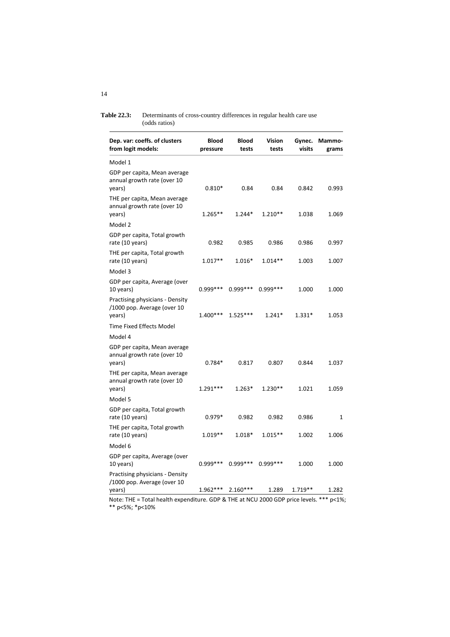| <b>Table 22.3:</b> | Determinants of cross-country differences in regular health care use |
|--------------------|----------------------------------------------------------------------|
|                    | (odds ratios)                                                        |

| Dep. var: coeffs. of clusters<br>from logit models:                      | <b>Blood</b><br>pressure | <b>Blood</b><br>tests | <b>Vision</b><br>tests | Gynec.<br>visits | Mammo-<br>grams |
|--------------------------------------------------------------------------|--------------------------|-----------------------|------------------------|------------------|-----------------|
| Model 1                                                                  |                          |                       |                        |                  |                 |
| GDP per capita, Mean average<br>annual growth rate (over 10<br>years)    | $0.810*$                 | 0.84                  | 0.84                   | 0.842            | 0.993           |
| THE per capita, Mean average<br>annual growth rate (over 10<br>years)    | $1.265**$                | $1.244*$              | $1.210**$              | 1.038            | 1.069           |
| Model 2                                                                  |                          |                       |                        |                  |                 |
| GDP per capita, Total growth<br>rate (10 years)                          | 0.982                    | 0.985                 | 0.986                  | 0.986            | 0.997           |
| THE per capita, Total growth<br>rate (10 years)                          | $1.017**$                | $1.016*$              | $1.014**$              | 1.003            | 1.007           |
| Model 3                                                                  |                          |                       |                        |                  |                 |
| GDP per capita, Average (over<br>10 years)                               | 0.999 ***                | $0.999***$            | $0.999***$             | 1.000            | 1.000           |
| Practising physicians - Density<br>/1000 pop. Average (over 10<br>years) | $1.400***$               | $1.525***$            | $1.241*$               | $1.331*$         | 1.053           |
| Time Fixed Effects Model                                                 |                          |                       |                        |                  |                 |
| Model 4                                                                  |                          |                       |                        |                  |                 |
| GDP per capita, Mean average<br>annual growth rate (over 10<br>years)    | $0.784*$                 | 0.817                 | 0.807                  | 0.844            | 1.037           |
| THE per capita, Mean average<br>annual growth rate (over 10<br>years)    | $1.291***$               | $1.263*$              | $1.230**$              | 1.021            | 1.059           |
| Model 5                                                                  |                          |                       |                        |                  |                 |
| GDP per capita, Total growth<br>rate (10 years)                          | $0.979*$                 | 0.982                 | 0.982                  | 0.986            | $\mathbf{1}$    |
| THE per capita, Total growth<br>rate (10 years)                          | $1.019**$                | 1.018*                | $1.015**$              | 1.002            | 1.006           |
| Model 6                                                                  |                          |                       |                        |                  |                 |
| GDP per capita, Average (over<br>10 years)                               | $0.999***$               | $0.999***$            | $0.999***$             | 1.000            | 1.000           |
| Practising physicians - Density<br>/1000 pop. Average (over 10<br>years) | 1.962 ***                | $2.160***$            | 1.289                  | $1.719**$        | 1.282           |

Note: THE = Total health expenditure. GDP & THE at NCU 2000 GDP price levels. \*\*\* p<1%; \*\* p<5%; \*p<10%

14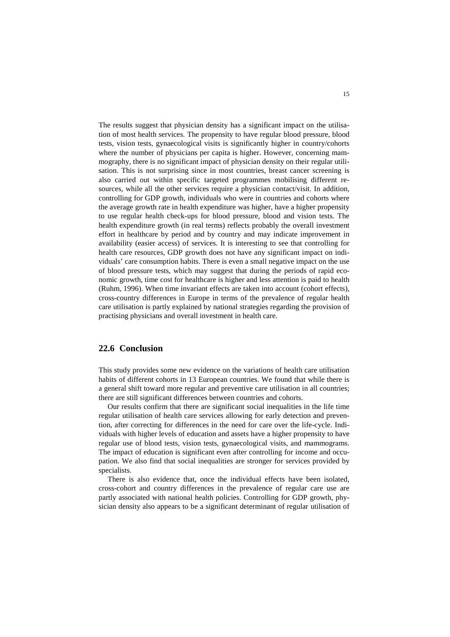The results suggest that physician density has a significant impact on the utilisation of most health services. The propensity to have regular blood pressure, blood tests, vision tests, gynaecological visits is significantly higher in country/cohorts where the number of physicians per capita is higher. However, concerning mammography, there is no significant impact of physician density on their regular utilisation. This is not surprising since in most countries, breast cancer screening is also carried out within specific targeted programmes mobilising different resources, while all the other services require a physician contact/visit. In addition, controlling for GDP growth, individuals who were in countries and cohorts where the average growth rate in health expenditure was higher, have a higher propensity to use regular health check-ups for blood pressure, blood and vision tests. The health expenditure growth (in real terms) reflects probably the overall investment effort in healthcare by period and by country and may indicate improvement in availability (easier access) of services. It is interesting to see that controlling for health care resources, GDP growth does not have any significant impact on individuals' care consumption habits. There is even a small negative impact on the use of blood pressure tests, which may suggest that during the periods of rapid economic growth, time cost for healthcare is higher and less attention is paid to health (Ruhm, 1996). When time invariant effects are taken into account (cohort effects), cross-country differences in Europe in terms of the prevalence of regular health care utilisation is partly explained by national strategies regarding the provision of practising physicians and overall investment in health care.

## **22.6 Conclusion**

This study provides some new evidence on the variations of health care utilisation habits of different cohorts in 13 European countries. We found that while there is a general shift toward more regular and preventive care utilisation in all countries; there are still significant differences between countries and cohorts.

Our results confirm that there are significant social inequalities in the life time regular utilisation of health care services allowing for early detection and prevention, after correcting for differences in the need for care over the life-cycle. Individuals with higher levels of education and assets have a higher propensity to have regular use of blood tests, vision tests, gynaecological visits, and mammograms. The impact of education is significant even after controlling for income and occupation. We also find that social inequalities are stronger for services provided by specialists.

There is also evidence that, once the individual effects have been isolated, cross-cohort and country differences in the prevalence of regular care use are partly associated with national health policies. Controlling for GDP growth, physician density also appears to be a significant determinant of regular utilisation of